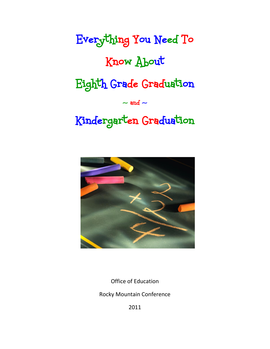Everything You Need To Know About Eighth Grade Graduation  $\sim$  and  $\sim$ Kindergarten Graduation



Office of Education

Rocky Mountain Conference

2011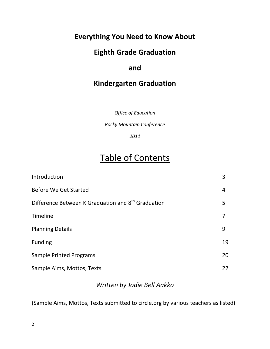### **Everything You Need to Know About**

## **Eighth Grade Graduation**

### **and**

### **Kindergarten Graduation**

*Office of Education*

*Rocky Mountain Conference*

*2011*

# Table of Contents

| Introduction                                                   | 3  |
|----------------------------------------------------------------|----|
| <b>Before We Get Started</b>                                   | 4  |
| Difference Between K Graduation and 8 <sup>th</sup> Graduation | 5  |
| Timeline                                                       |    |
| <b>Planning Details</b>                                        | 9  |
| <b>Funding</b>                                                 | 19 |
| <b>Sample Printed Programs</b>                                 | 20 |
| Sample Aims, Mottos, Texts                                     | 22 |

### *Written by Jodie Bell Aakko*

(Sample Aims, Mottos, Texts submitted to circle.org by various teachers as listed)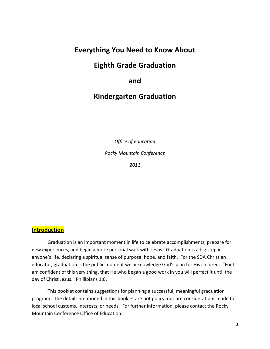### **Everything You Need to Know About**

### **Eighth Grade Graduation**

### **and**

### **Kindergarten Graduation**

*Office of Education*

*Rocky Mountain Conference*

*2011*

#### **Introduction**

Graduation is an important moment in life to celebrate accomplishments, prepare for new experiences, and begin a more personal walk with Jesus. Graduation is a big step in anyone's life, declaring a spiritual sense of purpose, hope, and faith. For the SDA Christian educator, graduation is the public moment we acknowledge God's plan for His children. "For I am confident of this very thing, that He who began a good work in you will perfect it until the day of Christ Jesus." Phillipians 1:6.

This booklet contains suggestions for planning a successful, meaningful graduation program. The details mentioned in this booklet are not policy, nor are considerations made for local school customs, interests, or needs. For further information, please contact the Rocky Mountain Conference Office of Education.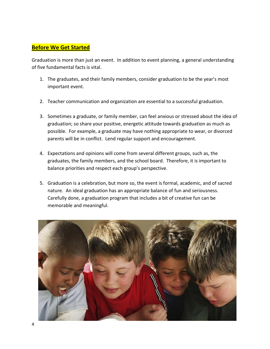#### **Before We Get Started**

Graduation is more than just an event. In addition to event planning, a general understanding of five fundamental facts is vital.

- 1. The graduates, and their family members, consider graduation to be the year's most important event.
- 2. Teacher communication and organization are essential to a successful graduation.
- 3. Sometimes a graduate, or family member, can feel anxious or stressed about the idea of graduation; so share your positive, energetic attitude towards graduation as much as possible. For example, a graduate may have nothing appropriate to wear, or divorced parents will be in conflict. Lend regular support and encouragement.
- 4. Expectations and opinions will come from several different groups, such as, the graduates, the family members, and the school board. Therefore, it is important to balance priorities and respect each group's perspective.
- 5. Graduation is a celebration, but more so, the event is formal, academic, and of sacred nature. An ideal graduation has an appropriate balance of fun and seriousness. Carefully done, a graduation program that includes a bit of creative fun can be memorable and meaningful.

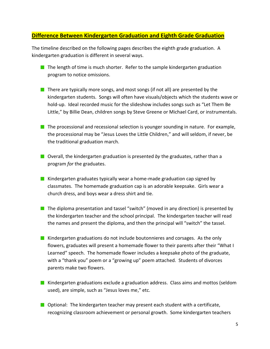#### **Difference Between Kindergarten Graduation and Eighth Grade Graduation**

The timeline described on the following pages describes the eighth grade graduation. A kindergarten graduation is different in several ways.

- The length of time is much shorter. Refer to the sample kindergarten graduation program to notice omissions.
- There are typically more songs, and most songs (if not all) are presented by the kindergarten students. Songs will often have visuals/objects which the students wave or hold-up. Ideal recorded music for the slideshow includes songs such as "Let Them Be Little," by Billie Dean, children songs by Steve Greene or Michael Card, or instrumentals.
- $\blacksquare$  The processional and recessional selection is younger sounding in nature. For example, the processional may be "Jesus Loves the Little Children," and will seldom, if never, be the traditional graduation march.
- **D** Overall, the kindergarten graduation is presented by the graduates, rather than a program *for* the graduates.
- Kindergarten graduates typically wear a home-made graduation cap signed by classmates. The homemade graduation cap is an adorable keepsake. Girls wear a church dress, and boys wear a dress shirt and tie.
- $\blacksquare$  The diploma presentation and tassel "switch" (moved in any direction) is presented by the kindergarten teacher and the school principal. The kindergarten teacher will read the names and present the diploma, and then the principal will "switch" the tassel.
- Kindergarten graduations do not include boutonnieres and corsages. As the only flowers, graduates will present a homemade flower to their parents after their "What I Learned" speech. The homemade flower includes a keepsake photo of the graduate, with a "thank you" poem or a "growing up" poem attached. Students of divorces parents make two flowers.
- Kindergarten graduations exclude a graduation address. Class aims and mottos (seldom used), are simple, such as "Jesus loves me," etc.
- **Optional: The kindergarten teacher may present each student with a certificate,** recognizing classroom achievement or personal growth. Some kindergarten teachers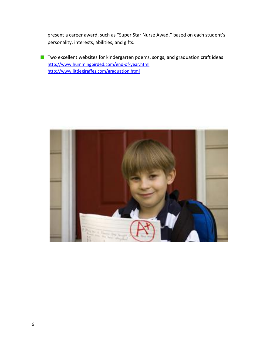present a career award, such as "Super Star Nurse Awad," based on each student's personality, interests, abilities, and gifts.

■ Two excellent websites for kindergarten poems, songs, and graduation craft ideas <http://www.hummingbirded.com/end-of-year.html> <http://www.littlegiraffes.com/graduation.html>

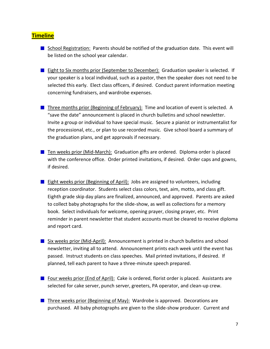#### **Timeline**

- School Registration: Parents should be notified of the graduation date. This event will be listed on the school year calendar.
- **Eight to Six months prior (September to December): Graduation speaker is selected. If** your speaker is a local individual, such as a pastor, then the speaker does not need to be selected this early. Elect class officers, if desired. Conduct parent information meeting concerning fundraisers, and wardrobe expenses.
- Three months prior (Beginning of February): Time and location of event is selected. A "save the date" announcement is placed in church bulletins and school newsletter. Invite a group or individual to have special music. Secure a pianist or instrumentalist for the processional, etc., or plan to use recorded music. Give school board a summary of the graduation plans, and get approvals if necessary.
- **Then Weeks prior (Mid-March): Graduation gifts are ordered. Diploma order is placed** with the conference office. Order printed invitations, if desired. Order caps and gowns, if desired.
- **Eight weeks prior (Beginning of April):** Jobs are assigned to volunteers, including reception coordinator. Students select class colors, text, aim, motto, and class gift. Eighth grade skip day plans are finalized, announced, and approved. Parents are asked to collect baby photographs for the slide-show, as well as collections for a memory book. Select individuals for welcome, opening prayer, closing prayer, etc. Print reminder in parent newsletter that student accounts must be cleared to receive diploma and report card.
- Six weeks prior (Mid-April): Announcement is printed in church bulletins and school newsletter, inviting all to attend. Announcement prints each week until the event has passed. Instruct students on class speeches. Mail printed invitations, if desired. If planned, tell each parent to have a three-minute speech prepared.
- **Four weeks prior (End of April):** Cake is ordered, florist order is placed. Assistants are selected for cake server, punch server, greeters, PA operator, and clean-up crew.
- **Three weeks prior (Beginning of May): Wardrobe is approved. Decorations are** purchased. All baby photographs are given to the slide-show producer. Current and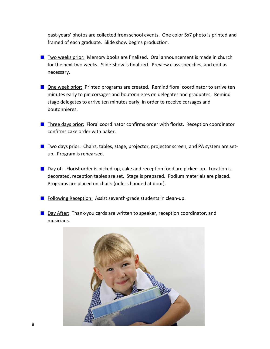past-years' photos are collected from school events. One color 5x7 photo is printed and framed of each graduate. Slide show begins production.

- **The Life Act Act Two weeks prior:** Memory books are finalized. Oral announcement is made in church for the next two weeks. Slide-show is finalized. Preview class speeches, and edit as necessary.
- One week prior: Printed programs are created. Remind floral coordinator to arrive ten minutes early to pin corsages and boutonnieres on delegates and graduates. Remind stage delegates to arrive ten minutes early, in order to receive corsages and boutonnieres.
- **Three days prior: Floral coordinator confirms order with florist. Reception coordinator** confirms cake order with baker.
- **The State State States is a state is a stage**, projector, projector screen, and PA system are setup. Program is rehearsed.
- **Day of:** Florist order is picked-up, cake and reception food are picked-up. Location is decorated, reception tables are set. Stage is prepared. Podium materials are placed. Programs are placed on chairs (unless handed at door).
- $\blacksquare$  Following Reception: Assist seventh-grade students in clean-up.
- Day After: Thank-you cards are written to speaker, reception coordinator, and musicians.

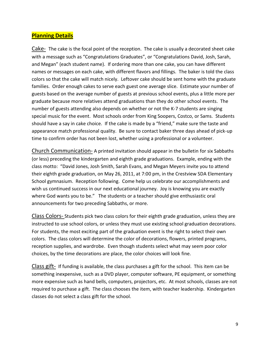#### **Planning Details**

Cake- The cake is the focal point of the reception. The cake is usually a decorated sheet cake with a message such as "Congratulations Graduates", or "Congratulations David, Josh, Sarah, and Megan" (each student name). If ordering more than one cake, you can have different names or messages on each cake, with different flavors and fillings. The baker is told the class colors so that the cake will match nicely. Leftover cake should be sent home with the graduate families. Order enough cakes to serve each guest one average slice. Estimate your number of guests based on the average number of guests at previous school events, plus a little more per graduate because more relatives attend graduations than they do other school events. The number of guests attending also depends on whether or not the K-7 students are singing special music for the event. Most schools order from King Soopers, Costco, or Sams. Students should have a say in cake choice. If the cake is made by a "friend," make sure the taste and appearance match professional quality. Be sure to contact baker three days ahead of pick-up time to confirm order has not been lost, whether using a professional or a volunteer.

Church Communication- A printed invitation should appear in the bulletin for six Sabbaths (or less) preceding the kindergarten and eighth grade graduations. Example, ending with the class motto: "David Jones, Josh Smith, Sarah Evans, and Megan Meyers invite you to attend their eighth grade graduation, on May 26, 2011, at 7:00 pm, in the Crestview SDA Elementary School gymnasium. Reception following. Come help us celebrate our accomplishments and wish us continued success in our next educational journey. Joy is knowing you are exactly where God wants you to be." The students or a teacher should give enthusiastic oral announcements for two preceding Sabbaths, or more.

Class Colors- Students pick two class colors for their eighth grade graduation, unless they are instructed to use school colors, or unless they must use existing school graduation decorations. For students, the most exciting part of the graduation event is the right to select their own colors. The class colors will determine the color of decorations, flowers, printed programs, reception supplies, and wardrobe. Even though students select what may seem poor color choices, by the time decorations are place, the color choices will look fine.

Class gift- If funding is available, the class purchases a gift for the school. This item can be something inexpensive, such as a DVD player, computer software, PE equipment, or something more expensive such as hand bells, computers, projectors, etc. At most schools, classes are not required to purchase a gift. The class chooses the item, with teacher leadership. Kindergarten classes do not select a class gift for the school.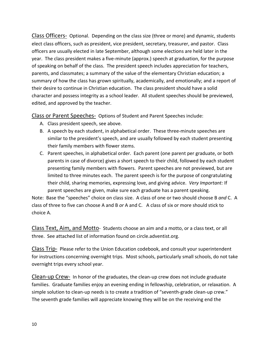Class Officers- Optional. Depending on the class size (three or more) and dynamic, students elect class officers, such as president, vice president, secretary, treasurer, and pastor. Class officers are usually elected in late September, although some elections are held later in the year. The class president makes a five-minute (approx.) speech at graduation, for the purpose of speaking on behalf of the class. The president speech includes appreciation for teachers, parents, and classmates; a summary of the value of the elementary Christian education; a summary of how the class has grown spiritually, academically, and emotionally; and a report of their desire to continue in Christian education. The class president should have a solid character and possess integrity as a school leader. All student speeches should be previewed, edited, and approved by the teacher.

Class or Parent Speeches- Options of Student and Parent Speeches include:

- A. Class president speech, see above.
- B. A speech by each student, in alphabetical order. These three-minute speeches are similar to the president's speech, and are usually followed by each student presenting their family members with flower stems.
- C. Parent speeches, in alphabetical order. Each parent (one parent per graduate, or both parents in case of divorce) gives a short speech to their child, followed by each student presenting family members with flowers. Parent speeches are not previewed, but are limited to three minutes each. The parent speech is for the purpose of congratulating their child, sharing memories, expressing love, and giving advice. *Very Important:* If parent speeches are given, make sure each graduate has a parent speaking.

Note: Base the "speeches" choice on class size. A class of one or two should choose B *and* C. A class of three to five can choose A and B *or* A and C. A class of six or more should stick to choice A.

Class Text, Aim, and Motto- Students choose an aim and a motto, or a class text, or all three. See attached list of information found on circle.adventist.org.

Class Trip- Please refer to the Union Education codebook, and consult your superintendent for instructions concerning overnight trips. Most schools, particularly small schools, do not take overnight trips every school year.

Clean-up Crew- In honor of the graduates, the clean-up crew does not include graduate families. Graduate families enjoy an evening ending in fellowship, celebration, or relaxation. A simple solution to clean-up needs is to create a tradition of "seventh-grade clean-up crew." The seventh grade families will appreciate knowing they will be on the receiving end the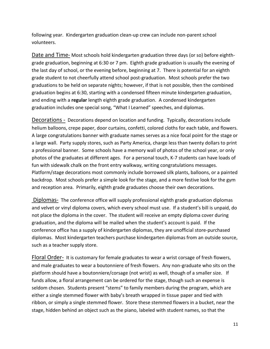following year. Kindergarten graduation clean-up crew can include non-parent school volunteers.

Date and Time- Most schools hold kindergarten graduation three days (or so) before eighthgrade graduation, beginning at 6:30 or 7 pm. Eighth grade graduation is usually the evening of the last day of school, or the evening before, beginning at 7. There is potential for an eighth grade student to not cheerfully attend school post-graduation. Most schools prefer the two graduations to be held on separate nights; however, if that is not possible, then the combined graduation begins at 6:30, starting with a condensed fifteen minute kindergarten graduation, and ending with a **regular** length eighth grade graduation. A condensed kindergarten graduation includes one special song, "What I Learned" speeches, and diplomas.

Decorations - Decorations depend on location and funding. Typically, decorations include helium balloons, crepe paper, door curtains, confetti, colored cloths for each table, and flowers. A large congratulations banner with graduate names serves as a nice focal point for the stage or a large wall. Party supply stores, such as Party America, charge less than twenty dollars to print a professional banner. Some schools have a memory wall of photos of the school year, or only photos of the graduates at different ages. For a personal touch, K-7 students can have loads of fun with sidewalk chalk on the front entry walkway, writing congratulations messages. Platform/stage decorations most commonly include borrowed silk plants, balloons, or a painted backdrop. Most schools prefer a simple look for the stage, and a more festive look for the gym and reception area. Primarily, eighth grade graduates choose their own decorations.

Diplomas- The conference office will supply professional eighth grade graduation diplomas and velvet or vinyl diploma covers, which every school must use. If a student's bill is unpaid, do not place the diploma in the cover. The student will receive an empty diploma cover during graduation, and the diploma will be mailed when the student's account is paid. If the conference office has a supply of kindergarten diplomas, they are unofficial store-purchased diplomas. Most kindergarten teachers purchase kindergarten diplomas from an outside source, such as a teacher supply store.

Floral Order- It is customary for female graduates to wear a wrist corsage of fresh flowers, and male graduates to wear a boutonniere of fresh flowers. Any non-graduate who sits on the platform should have a boutonniere/corsage (not wrist) as well, though of a smaller size. If funds allow, a floral arrangement can be ordered for the stage, though such an expense is seldom chosen. Students present "stems" to family members during the program, which are either a single stemmed flower with baby's breath wrapped in tissue paper and tied with ribbon, or simply a single stemmed flower. Store these stemmed flowers in a bucket, near the stage, hidden behind an object such as the piano, labeled with student names, so that the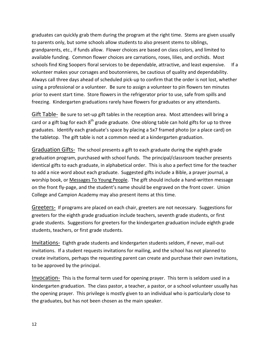graduates can quickly grab them during the program at the right time. Stems are given usually to parents only, but some schools allow students to also present stems to siblings, grandparents, etc., if funds allow. Flower choices are based on class colors, and limited to available funding. Common flower choices are carnations, roses, lilies, and orchids. Most schools find King Soopers floral services to be dependable, attractive, and least expensive. If a volunteer makes your corsages and boutonnieres, be cautious of quality and dependability. Always call three days ahead of scheduled pick-up to confirm that the order is not lost, whether using a professional or a volunteer. Be sure to assign a volunteer to pin flowers ten minutes prior to event start time. Store flowers in the refrigerator prior to use, safe from spills and freezing. Kindergarten graduations rarely have flowers for graduates or any attendants.

Gift Table- Be sure to set-up gift tables in the reception area. Most attendees will bring a card or a gift bag for each 8<sup>th</sup> grade graduate. One oblong table can hold gifts for up to three graduates. Identify each graduate's space by placing a 5x7 framed photo (or a place card) on the tabletop. The gift table is not a common need at a kindergarten graduation.

Graduation Gifts- The school presents a gift to each graduate during the eighth grade graduation program, purchased with school funds. The principal/classroom teacher presents identical gifts to each graduate, in alphabetical order. This is also a perfect time for the teacher to add a nice word about each graduate. Suggested gifts include a Bible, a prayer journal, a worship book, or Messages To Young People. The gift should include a hand-written message on the front fly-page, and the student's name should be engraved on the front cover. Union College and Campion Academy may also present items at this time.

Greeters- If programs are placed on each chair, greeters are not necessary. Suggestions for greeters for the eighth grade graduation include teachers, seventh grade students, or first grade students. Suggestions for greeters for the kindergarten graduation include eighth grade students, teachers, or first grade students.

Invitations- Eighth grade students and kindergarten students seldom, if never, mail-out invitations. If a student requests invitations for mailing, and the school has not planned to create invitations, perhaps the requesting parent can create and purchase their own invitations, to be approved by the principal.

Invocation- This is the formal term used for opening prayer. This term is seldom used in a kindergarten graduation. The class pastor, a teacher, a pastor, or a school volunteer usually has the opening prayer. This privilege is mostly given to an individual who is particularly close to the graduates, but has not been chosen as the main speaker.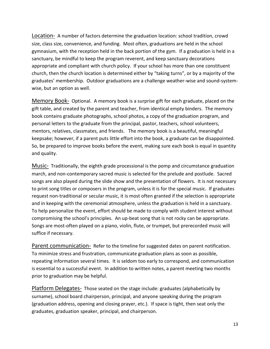Location- A number of factors determine the graduation location: school tradition, crowd size, class size, convenience, and funding. Most often, graduations are held in the school gymnasium, with the reception held in the back portion of the gym. If a graduation is held in a sanctuary, be mindful to keep the program reverent, and keep sanctuary decorations appropriate and compliant with church policy. If your school has more than one constituent church, then the church location is determined either by "taking turns", or by a majority of the graduates' membership. Outdoor graduations are a challenge weather-wise and sound-systemwise, but an option as well.

Memory Book- Optional. A memory book is a surprise gift for each graduate, placed on the gift table, and created by the parent and teacher, from identical empty binders. The memory book contains graduate photographs, school photos, a copy of the graduation program, and personal letters to the graduate from the principal, pastor, teachers, school volunteers, mentors, relatives, classmates, and friends. The memory book is a beautiful, meaningful keepsake; however, if a parent puts little effort into the book, a graduate can be disappointed. So, be prepared to improve books before the event, making sure each book is equal in quantity and quality.

Music- Traditionally, the eighth grade processional is the pomp and circumstance graduation march, and non-contemporary sacred music is selected for the prelude and postlude. Sacred songs are also played during the slide show and the presentation of flowers. It is not necessary to print song titles or composers in the program, unless it is for the special music. If graduates request non-traditional or secular music, it is most often granted if the selection is appropriate and in keeping with the ceremonial atmosphere, unless the graduation is held in a sanctuary. To help personalize the event, effort should be made to comply with student interest without compromising the school's principles. An up-beat song that is not rocky can be appropriate. Songs are most-often played on a piano, violin, flute, or trumpet, but prerecorded music will suffice if necessary.

Parent communication- Refer to the timeline for suggested dates on parent notification. To minimize stress and frustration, communicate graduation plans as soon as possible, repeating information several times. It is seldom too early to correspond, and communication is essential to a successful event. In addition to written notes, a parent meeting two months prior to graduation may be helpful.

Platform Delegates- Those seated on the stage include: graduates (alphabetically by surname), school board chairperson, principal, and anyone speaking during the program (graduation address, opening and closing prayer, etc.). If space is tight, then seat only the graduates, graduation speaker, principal, and chairperson.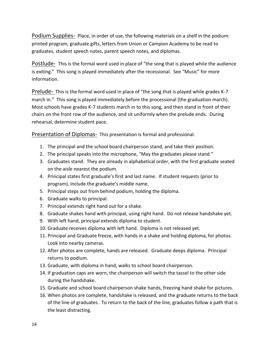Podium Supplies- Place, in order of use, the following materials on a shelf in the podium: printed program, graduate gifts, letters from Union or Campion Academy to be read to graduates, student speech notes, parent speech notes, and diplomas.

Postlude- This is the formal word used in place of "the song that is played while the audience is exiting." This song is played immediately after the recessional. See "Music" for more information.

Prelude- This is the formal word used in place of "the song that is played while grades K-7 march in." This song is played immediately before the processional (the graduation march). Most schools have grades K-7 students march in to this song, and then stand in front of their chairs on the front row of the audience, and sit uniformly when the prelude ends. During rehearsal, determine student pace.

Presentation of Diplomas- This presentation is formal and professional.

- 1. The principal and the school board chairperson stand, and take their position.
- 2. The principal speaks into the microphone, "May the graduates please stand."
- 3. Graduates stand. They are already in alphabetical order, with the first graduate seated on the aisle nearest the podium.
- 4. Principal states first graduate's first and last name. If student requests (prior to program), include the graduate's middle name.
- 5. Principal steps out from behind podium, holding the diploma.
- 6. Graduate walks to principal.
- 7. Principal extends right hand out for a shake.
- 8. Graduate shakes hand with principal, using right hand. Do not release handshake yet.
- 9. With left hand, principal extends diploma to student.
- 10. Graduate receives diploma with left hand. Diploma is not released yet.
- 11. Principal and Graduate freeze, with hands in a shake and holding diploma, for photos. Look into nearby cameras.
- 12. After photos are complete, hands are released. Graduate deeps diploma. Principal returns to podium.
- 13. Graduate, with diploma in hand, walks to school board chairperson.
- 14. If graduation caps are worn, the chairperson will switch the tassel to the other side during the handshake.
- 15. Graduate and school board chairperson shake hands, freezing hand shake for pictures.
- 16. When photos are complete, handshake is released, and the graduate returns to the back of the line of graduates. To return to the back of the line, graduates follow a path that is the least distracting.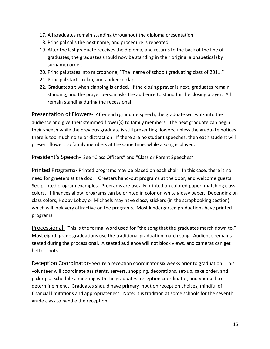- 17. All graduates remain standing throughout the diploma presentation.
- 18. Principal calls the next name, and procedure is repeated.
- 19. After the last graduate receives the diploma, and returns to the back of the line of graduates, the graduates should now be standing in their original alphabetical (by surname) order.
- 20. Principal states into microphone, "The (name of school) graduating class of 2011."
- 21. Principal starts a clap, and audience claps.
- 22. Graduates sit when clapping is ended. If the closing prayer is next, graduates remain standing, and the prayer person asks the audience to stand for the closing prayer. All remain standing during the recessional.

Presentation of Flowers- After each graduate speech, the graduate will walk into the audience and give their stemmed flower(s) to family members. The next graduate can begin their speech while the previous graduate is still presenting flowers, unless the graduate notices there is too much noise or distraction. If there are no student speeches, then each student will present flowers to family members at the same time, while a song is played.

President's Speech- See "Class Officers" and "Class or Parent Speeches"

Printed Programs- Printed programs may be placed on each chair. In this case, there is no need for greeters at the door. Greeters hand-out programs at the door, and welcome guests. See printed program examples. Programs are usually printed on colored paper, matching class colors. If finances allow, programs can be printed in color on white glossy paper. Depending on class colors, Hobby Lobby or Michaels may have classy stickers (in the scrapbooking section) which will look very attractive on the programs. Most kindergarten graduations have printed programs.

Processional- This is the formal word used for "the song that the graduates march down to." Most eighth grade graduations use the traditional graduation march song. Audience remains seated during the processional. A seated audience will not block views, and cameras can get better shots.

Reception Coordinator- Secure a reception coordinator six weeks prior to graduation. This volunteer will coordinate assistants, servers, shopping, decorations, set-up, cake order, and pick-ups. Schedule a meeting with the graduates, reception coordinator, and yourself to determine menu. Graduates should have primary input on reception choices, mindful of financial limitations and appropriateness. Note: It is tradition at some schools for the seventh grade class to handle the reception.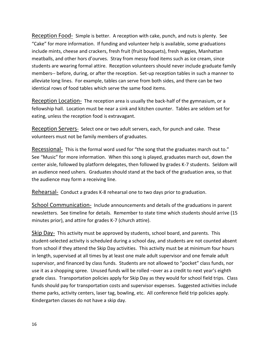Reception Food- Simple is better. A reception with cake, punch, and nuts is plenty. See "Cake" for more information. If funding and volunteer help is available, some graduations include mints, cheese and crackers, fresh fruit (fruit bouquets), fresh veggies, Manhattan meatballs, and other hors d'ourves. Stray from messy food items such as ice cream, since students are wearing formal attire. Reception volunteers should never include graduate family members-- before, during, or after the reception. Set-up reception tables in such a manner to alleviate long lines. For example, tables can serve from both sides, and there can be two identical rows of food tables which serve the same food items.

Reception Location- The reception area is usually the back-half of the gymnasium, or a fellowship hall. Location must be near a sink and kitchen counter. Tables are seldom set for eating, unless the reception food is extravagant.

Reception Servers- Select one or two adult servers, each, for punch and cake. These volunteers must not be family members of graduates.

Recessional- This is the formal word used for "the song that the graduates march out to." See "Music" for more information. When this song is played, graduates march out, down the center aisle, followed by platform delegates, then followed by grades K-7 students. Seldom will an audience need ushers. Graduates should stand at the back of the graduation area, so that the audience may form a receiving line.

Rehearsal- Conduct a grades K-8 rehearsal one to two days prior to graduation.

School Communication- Include announcements and details of the graduations in parent newsletters. See timeline for details. Remember to state time which students should arrive (15 minutes prior), and attire for grades K-7 (church attire).

Skip Day- This activity must be approved by students, school board, and parents. This student-selected activity is scheduled during a school day, and students are not counted absent from school if they attend the Skip Day activities. This activity must be at minimum four hours in length, supervised at all times by at least one male adult supervisor and one female adult supervisor, and financed by class funds. Students are not allowed to "pocket" class funds, nor use it as a shopping spree. Unused funds will be rolled –over as a credit to next year's eighth grade class. Transportation policies apply for Skip Day as they would for school field trips. Class funds should pay for transportation costs and supervisor expenses. Suggested activities include theme parks, activity centers, laser tag, bowling, etc. All conference field trip policies apply. Kindergarten classes do not have a skip day.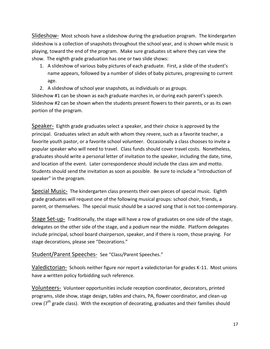Slideshow- Most schools have a slideshow during the graduation program. The kindergarten slideshow is a collection of snapshots throughout the school year, and is shown while music is playing, toward the end of the program. Make sure graduates sit where they can view the show. The eighth grade graduation has one or two slide shows:

- 1. A slideshow of various baby pictures of each graduate. First, a slide of the student's name appears, followed by a number of slides of baby pictures, progressing to current age.
- 2. A slideshow of school year snapshots, as individuals or as groups.

Slideshow #1 can be shown as each graduate marches in, or during each parent's speech. Slideshow #2 can be shown when the students present flowers to their parents, or as its own portion of the program.

Speaker- Eighth grade graduates select a speaker, and their choice is approved by the principal. Graduates select an adult with whom they revere, such as a favorite teacher, a favorite youth pastor, or a favorite school volunteer. Occasionally a class chooses to invite a popular speaker who will need to travel. Class funds should cover travel costs. Nonetheless, graduates should write a personal letter of invitation to the speaker, including the date, time, and location of the event. Later correspondence should include the class aim and motto. Students should send the invitation as soon as possible. Be sure to include a "introduction of speaker" in the program.

Special Music- The kindergarten class presents their own pieces of special music. Eighth grade graduates will request one of the following musical groups: school choir, friends, a parent, or themselves. The special music should be a sacred song that is not too contemporary.

Stage Set-up- Traditionally, the stage will have a row of graduates on one side of the stage, delegates on the other side of the stage, and a podium near the middle. Platform delegates include principal, school board chairperson, speaker, and if there is room, those praying. For stage decorations, please see "Decorations."

#### Student/Parent Speeches- See "Class/Parent Speeches."

Valedictorian- Schools neither figure nor report a valedictorian for grades K-11. Most unions have a written policy forbidding such reference.

Volunteers- Volunteer opportunities include reception coordinator, decorators, printed programs, slide show, stage design, tables and chairs, PA, flower coordinator, and clean-up crew ( $7<sup>th</sup>$  grade class). With the exception of decorating, graduates and their families should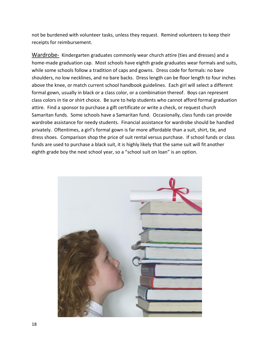not be burdened with volunteer tasks, unless they request. Remind volunteers to keep their receipts for reimbursement.

Wardrobe- Kindergarten graduates commonly wear church attire (ties and dresses) and a home-made graduation cap. Most schools have eighth grade graduates wear formals and suits, while some schools follow a tradition of caps and gowns. Dress code for formals: no bare shoulders, no low necklines, and no bare backs. Dress length can be floor length to four inches above the knee, or match current school handbook guidelines. Each girl will select a different formal gown, usually in black or a class color, or a combination thereof. Boys can represent class colors in tie or shirt choice. Be sure to help students who cannot afford formal graduation attire. Find a sponsor to purchase a gift certificate or write a check, or request church Samaritan funds. Some schools have a Samaritan fund. Occasionally, class funds can provide wardrobe assistance for needy students. Financial assistance for wardrobe should be handled privately. Oftentimes, a girl's formal gown is far more affordable than a suit, shirt, tie, and dress shoes. Comparison shop the price of suit rental versus purchase. If school funds or class funds are used to purchase a black suit, it is highly likely that the same suit will fit another eighth grade boy the next school year, so a "school suit on loan" is an option.

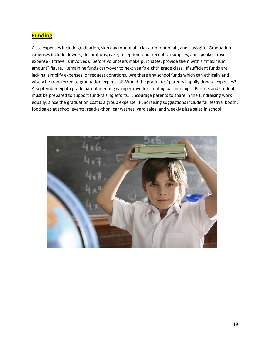### **Funding**

Class expenses include graduation, skip day (optional), class trip (optional), and class gift. Graduation expenses include flowers, decorations, cake, reception food, reception supplies, and speaker travel expense (if travel is involved). Before volunteers make purchases, provide them with a "maximum amount" figure. Remaining funds carryover to next year's eighth grade class. If sufficient funds are lacking, simplify expenses, or request donations. Are there any school funds which can ethically and wisely be transferred to graduation expenses? Would the graduates' parents happily donate expenses? A September eighth grade parent meeting is imperative for creating partnerships. Parents and students must be prepared to support fund-raising efforts. Encourage parents to share in the fundraising work equally, since the graduation cost is a group expense. Fundraising suggestions include fall festival booth, food sales at school events, read-a-thon, car washes, yard sales, and weekly pizza sales in school.

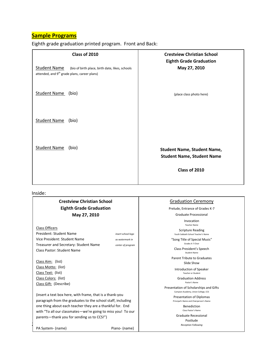#### **Sample Programs**

Eighth grade graduation printed program. Front and Back:

| Class of 2010                                                                                                                      | <b>Crestview Christian School</b>                                       |
|------------------------------------------------------------------------------------------------------------------------------------|-------------------------------------------------------------------------|
| <b>Student Name</b><br>(bio of birth place, birth date, likes, schools<br>attended, and 9 <sup>th</sup> grade plans, career plans) | <b>Eighth Grade Graduation</b><br>May 27, 2010                          |
| <b>Student Name</b><br>(bio)                                                                                                       | (place class photo here)                                                |
| <b>Student Name</b><br>(bio)                                                                                                       |                                                                         |
| <b>Student Name</b><br>(bio)                                                                                                       | <b>Student Name, Student Name,</b><br><b>Student Name, Student Name</b> |
|                                                                                                                                    | Class of 2010                                                           |

#### Inside:

#### **Crestview Christian School Eighth Grade Graduation May 27, 2010** Class Officers President: Student Name *insert school logo* Vice President: Student Name *as watermark in*  Treasurer and Secretary: Student Name *center of program* Class Pastor: Student Name Class Aim: (list) Class Motto: (list) Class Text: (list) Class Colors: (list) Class Gift: (Describe) (insert a text box here, with frame, that is a thank-you paragraph from the graduates to the school staff, including one thing about each teacher they are a thankful for. End Graduation Ceremony Prelude, Entrance of Grades K-7 Graduate Processional Invocation Teacher Name Scripture Reading Youth Sabbath School Teacher's Name "Song Title of Special Music" Grades K-7 Choir Class President's Speech Student Name Parent Tribute to Graduates Slide Show Introduction of Speaker Teacher or Student Graduation Address Pastor's Name Presentation of Scholarships and Gifts Campion Academy, Union College, CCS Presentation of Diplomas Principal's Name and Chairperson's Name

Benediction Class Pastor's Name

Graduate Recessional Postlude

 $\overline{1}$ PA System- (name) example a primary piano- (name)

with "To all our classmates—we're going to miss you! To our

parents—thank you for sending us to CCS!")

*Reception Following*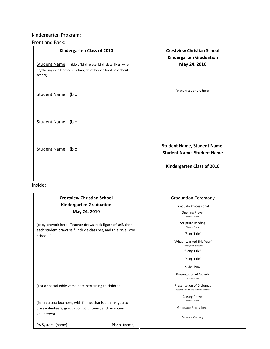#### Kindergarten Program:

#### Front and Back:

| Kindergarten Class of 2010                                                                                                                        | <b>Crestview Christian School</b>                                       |
|---------------------------------------------------------------------------------------------------------------------------------------------------|-------------------------------------------------------------------------|
| <b>Student Name</b><br>(bio of birth place, birth date, likes, what<br>he/she says she learned in school, what he/she liked best about<br>school) | <b>Kindergarten Graduation</b><br>May 24, 2010                          |
| <b>Student Name</b><br>(bio)                                                                                                                      | (place class photo here)                                                |
| <b>Student Name</b><br>(bio)                                                                                                                      |                                                                         |
| <b>Student Name</b><br>(bio)                                                                                                                      | <b>Student Name, Student Name,</b><br><b>Student Name, Student Name</b> |
|                                                                                                                                                   | Kindergarten Class of 2010                                              |

Inside:

#### **Crestview Christian School Kindergarten Graduation May 24, 2010**

(copy artwork here: Teacher draws stick figure of self, then each student draws self, include class pet, and title "We Love School!")

(List a special Bible verse here pertaining to children)

(insert a text box here, with frame, that is a thank-you to class volunteers, graduation volunteers, and reception volunteers)

PA System- (name) Piano- (name)

#### Graduation Ceremony

Graduate Processional

Opening Prayer Student Name

Scripture Reading Student Name

"Song Title"

"What I Learned This Year" Kindergarten Students

"Song Title"

"Song Title"

Slide Show

Presentation of Awards Teacher Name

Presentation of Diplomas Teacher's Name and Principal's Name

> Closing Prayer Student Name

Graduate Recessional

*Reception Following*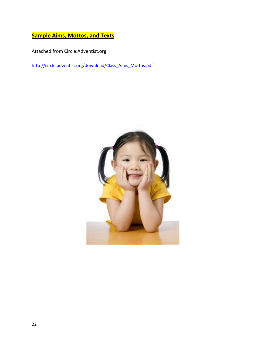**Sample Aims, Mottos, and Texts**

Attached from Circle.Adventist.org

[http://circle.adventist.org/download/Class\\_Aims\\_Mottos.pdf](http://circle.adventist.org/download/Class_Aims_Mottos.pdf)

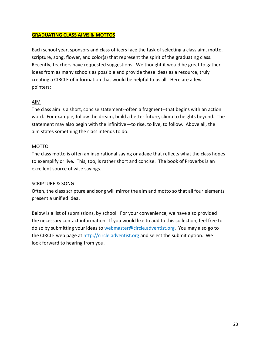#### **GRADUATING CLASS AIMS & MOTTOS**

Each school year, sponsors and class officers face the task of selecting a class aim, motto, scripture, song, flower, and color(s) that represent the spirit of the graduating class. Recently, teachers have requested suggestions. We thought it would be great to gather ideas from as many schools as possible and provide these ideas as a resource, truly creating a CIRCLE of information that would be helpful to us all. Here are a few pointers:

#### AIM

The class aim is a short, concise statement--often a fragment--that begins with an action word. For example, follow the dream, build a better future, climb to heights beyond. The statement may also begin with the infinitive—to rise, to live, to follow. Above all, the aim states something the class intends to do.

#### MOTTO

The class motto is often an inspirational saying or adage that reflects what the class hopes to exemplify or live. This, too, is rather short and concise. The book of Proverbs is an excellent source of wise sayings.

#### SCRIPTURE & SONG

Often, the class scripture and song will mirror the aim and motto so that all four elements present a unified idea.

Below is a list of submissions, by school. For your convenience, we have also provided the necessary contact information. If you would like to add to this collection, feel free to do so by submitting your ideas to webmaster@circle.adventist.org. You may also go to the CIRCLE web page at http://circle.adventist.org and select the submit option. We look forward to hearing from you.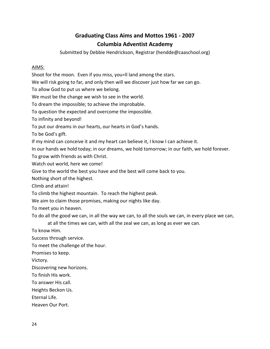### **Graduating Class Aims and Mottos 1961 - 2007 Columbia Adventist Academy**

Submitted by Debbie Hendrickson, Registrar (hendde@caaschool.org)

#### AIMS:

Shoot for the moon. Even if you miss, you=ll land among the stars.

We will risk going to far, and only then will we discover just how far we can go.

To allow God to put us where we belong.

We must be the change we wish to see in the world.

To dream the impossible; to achieve the improbable.

To question the expected and overcome the impossible.

To infinity and beyond!

To put our dreams in our hearts, our hearts in God's hands.

To be God's gift.

If my mind can conceive it and my heart can believe it, I know I can achieve it.

In our hands we hold today; in our dreams, we hold tomorrow; in our faith, we hold forever.

To grow with friends as with Christ.

Watch out world, here we come!

Give to the world the best you have and the best will come back to you.

Nothing short of the highest.

Climb and attain!

To climb the highest mountain. To reach the highest peak.

We aim to claim those promises, making our nights like day.

To meet you in heaven.

To do all the good we can, in all the way we can, to all the souls we can, in every place we can,

at all the times we can, with all the zeal we can, as long as ever we can.

To know Him.

Success through service.

To meet the challenge of the hour.

Promises to keep.

Victory.

Discovering new horizons.

To finish His work.

To answer His call.

Heights Beckon Us.

Eternal Life.

Heaven Our Port.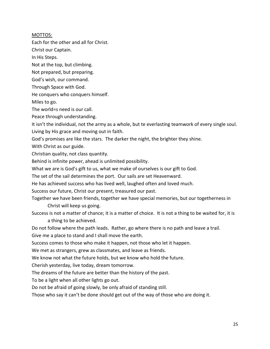#### MOTTOS:

Each for the other and all for Christ.

Christ our Captain.

In His Steps.

Not at the top, but climbing.

Not prepared, but preparing.

God's wish, our command.

Through Space with God.

He conquers who conquers himself.

Miles to go.

The world=s need is our call.

Peace through understanding.

It isn't the individual, not the army as a whole, but te everlasting teamwork of every single soul. Living by His grace and moving out in faith.

God's promises are like the stars. The darker the night, the brighter they shine.

With Christ as our guide.

Christian quality, not class quantity.

Behind is infinite power, ahead is unlimited possibility.

What we are is God's gift to us, what we make of ourselves is our gift to God.

The set of the sail determines the port. Our sails are set Heavenward.

He has achieved success who has lived well, laughed often and loved much.

Success our future, Christ our present, treasured our past.

Together we have been friends, together we have special memories, but our togetherness in

Christ will keep us going.

Success is not a matter of chance; it is a matter of choice. It is not a thing to be waited for, it is a thing to be achieved.

Do not follow where the path leads. Rather, go where there is no path and leave a trail.

Give me a place to stand and I shall move the earth.

Success comes to those who make it happen, not those who let it happen.

We met as strangers, grew as classmates, and leave as friends.

We know not what the future holds, but we know who hold the future.

Cherish yesterday, live today, dream tomorrow.

The dreams of the future are better than the history of the past.

To be a light when all other lights go out.

Do not be afraid of going slowly, be only afraid of standing still.

Those who say it can't be done should get out of the way of those who are doing it.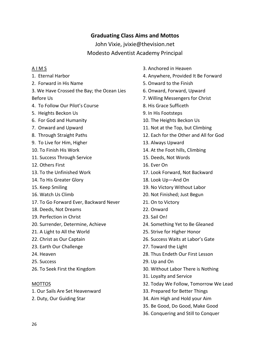### **Graduating Class Aims and Mottos**

John Vixie, jvixie@thevision.net Modesto Adventist Academy Principal

#### A I M S

- 1. Eternal Harbor
- 2. Forward in His Name
- 3. We Have Crossed the Bay; the Ocean Lies Before Us
- 4. To Follow Our Pilot's Course
- 5. Heights Beckon Us
- 6. For God and Humanity
- 7. Onward and Upward
- 8. Through Straight Paths
- 9. To Live for Him, Higher
- 10. To Finish His Work
- 11. Success Through Service
- 12. Others First
- 13. To the Unfinished Work
- 14. To His Greater Glory
- 15. Keep Smiling
- 16. Watch Us Climb
- 17. To Go Forward Ever, Backward Never
- 18. Deeds, Not Dreams
- 19. Perfection in Christ
- 20. Surrender, Determine, Achieve
- 21. A Light to All the World
- 22. Christ as Our Captain
- 23. Earth Our Challenge
- 24. Heaven
- 25. Success
- 26. To Seek First the Kingdom

#### MOTTOS

- 1. Our Sails Are Set Heavenward
- 2. Duty, Our Guiding Star
- 3. Anchored in Heaven
- 4. Anywhere, Provided It Be Forward
- 5. Onward to the Finish
- 6. Onward, Forward, Upward
- 7. Willing Messengers for Christ
- 8. His Grace Sufficeth
- 9. In His Footsteps
- 10. The Heights Beckon Us
- 11. Not at the Top, but Climbing
- 12. Each for the Other and All for God
- 13. Always Upward
- 14. At the Foot hills, Climbing
- 15. Deeds, Not Words
- 16. Ever On
- 17. Look Forward, Not Backward
- 18. Look Up—And On
- 19. No Victory Without Labor
- 20. Not Finished; Just Begun
- 21. On to Victory
- 22. Onward
- 23. Sail On!
- 24. Something Yet to Be Gleaned
- 25. Strive for Higher Honor
- 26. Success Waits at Labor's Gate
- 27. Toward the Light
- 28. Thus Endeth Our First Lesson
- 29. Up and On
- 30. Without Labor There is Nothing
- 31. Loyalty and Service
- 32. Today We Follow, Tomorrow We Lead
- 33. Prepared for Better Things
- 34. Aim High and Hold your Aim
- 35. Be Good, Do Good, Make Good
- 36. Conquering and Still to Conquer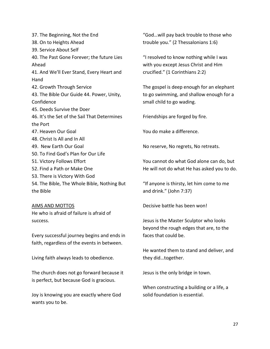37. The Beginning, Not the End 38. On to Heights Ahead 39. Service About Self 40. The Past Gone Forever; the future Lies Ahead 41. And We'll Ever Stand, Every Heart and Hand 42. Growth Through Service 43. The Bible Our Guide 44. Power, Unity, Confidence 45. Deeds Survive the Doer 46. It's the Set of the Sail That Determines the Port 47. Heaven Our Goal 48. Christ Is All and In All 49. New Earth Our Goal 50. To Find God's Plan for Our Life 51. Victory Follows Effort 52. Find a Path or Make One 53. There is Victory With God 54. The Bible, The Whole Bible, Nothing But the Bible

#### AIMS AND MOTTOS He who is afraid of failure is afraid of success.

Every successful journey begins and ends in faith, regardless of the events in between.

Living faith always leads to obedience.

The church does not go forward because it is perfect, but because God is gracious.

Joy is knowing you are exactly where God wants you to be.

"God…will pay back trouble to those who trouble you." (2 Thessalonians 1:6)

"I resolved to know nothing while I was with you except Jesus Christ and Him crucified." (1 Corinthians 2:2)

The gospel is deep enough for an elephant to go swimming, and shallow enough for a small child to go wading.

Friendships are forged by fire.

You do make a difference.

No reserve, No regrets, No retreats.

You cannot do what God alone can do, but He will not do what He has asked you to do.

"If anyone is thirsty, let him come to me and drink." (John 7:37)

Decisive battle has been won!

Jesus is the Master Sculptor who looks beyond the rough edges that are, to the faces that could be.

He wanted them to stand and deliver, and they did…together.

Jesus is the only bridge in town.

When constructing a building or a life, a solid foundation is essential.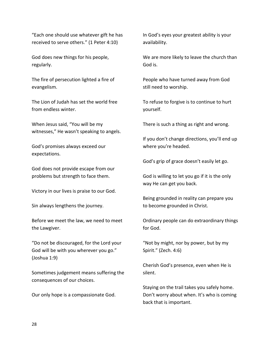"Each one should use whatever gift he has received to serve others." (1 Peter 4:10)

God does new things for his people, regularly.

The fire of persecution lighted a fire of evangelism.

The Lion of Judah has set the world free from endless winter.

When Jesus said, "You will be my witnesses," He wasn't speaking to angels.

God's promises always exceed our expectations.

God does not provide escape from our problems but strength to face them.

Victory in our lives is praise to our God.

Sin always lengthens the journey.

Before we meet the law, we need to meet the Lawgiver.

"Do not be discouraged, for the Lord your God will be with you wherever you go." (Joshua 1:9)

Sometimes judgement means suffering the consequences of our choices.

Our only hope is a compassionate God.

In God's eyes your greatest ability is your availability.

We are more likely to leave the church than God is.

People who have turned away from God still need to worship.

To refuse to forgive is to continue to hurt yourself.

There is such a thing as right and wrong.

If you don't change directions, you'll end up where you're headed.

God's grip of grace doesn't easily let go.

God is willing to let you go if it is the only way He can get you back.

Being grounded in reality can prepare you to become grounded in Christ.

Ordinary people can do extraordinary things for God.

"Not by might, nor by power, but by my Spirit." (Zech. 4:6)

Cherish God's presence, even when He is silent.

Staying on the trail takes you safely home. Don't worry about when. It's who is coming back that is important.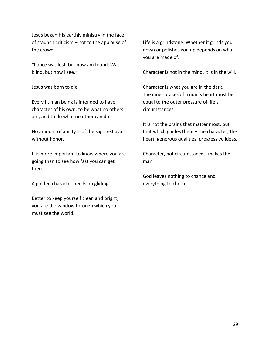Jesus began His earthly ministry in the face of staunch criticism – not to the applause of the crowd.

"I once was lost, but now am found. Was blind, but now I see."

Jesus was born to die.

Every human being is intended to have character of his own: to be what no others are, and to do what no other can do.

No amount of ability is of the slightest avail without honor.

It is more important to know where you are going than to see how fast you can get there.

A golden character needs no gliding.

Better to keep yourself clean and bright; you are the window through which you must see the world.

Life is a grindstone. Whether it grinds you down or polishes you up depends on what you are made of.

Character is not in the mind. It is in the will.

Character is what you are in the dark. The inner braces of a man's heart must be equal to the outer pressure of life's circumstances.

It is not the brains that matter most, but that which guides them – the character, the heart, generous qualities, progressive ideas.

Character, not circumstances, makes the man.

God leaves nothing to chance and everything to choice.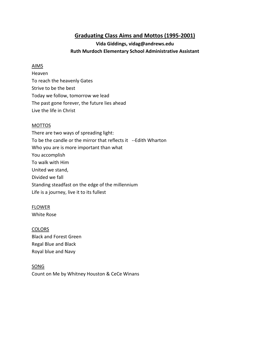#### **Graduating Class Aims and Mottos (1995-2001)**

#### **Vida Giddings, vidag@andrews.edu Ruth Murdoch Elementary School Administrative Assistant**

#### AIMS

Heaven To reach the heavenly Gates Strive to be the best Today we follow, tomorrow we lead The past gone forever, the future lies ahead Live the life in Christ

#### MOTTOS

There are two ways of spreading light: To be the candle or the mirror that reflects it --Edith Wharton Who you are is more important than what You accomplish To walk with Him United we stand, Divided we fall Standing steadfast on the edge of the millennium Life is a journey, live it to its fullest

#### FLOWER

White Rose

#### **COLORS**

Black and Forest Green Regal Blue and Black Royal blue and Navy

#### **SONG**

Count on Me by Whitney Houston & CeCe Winans